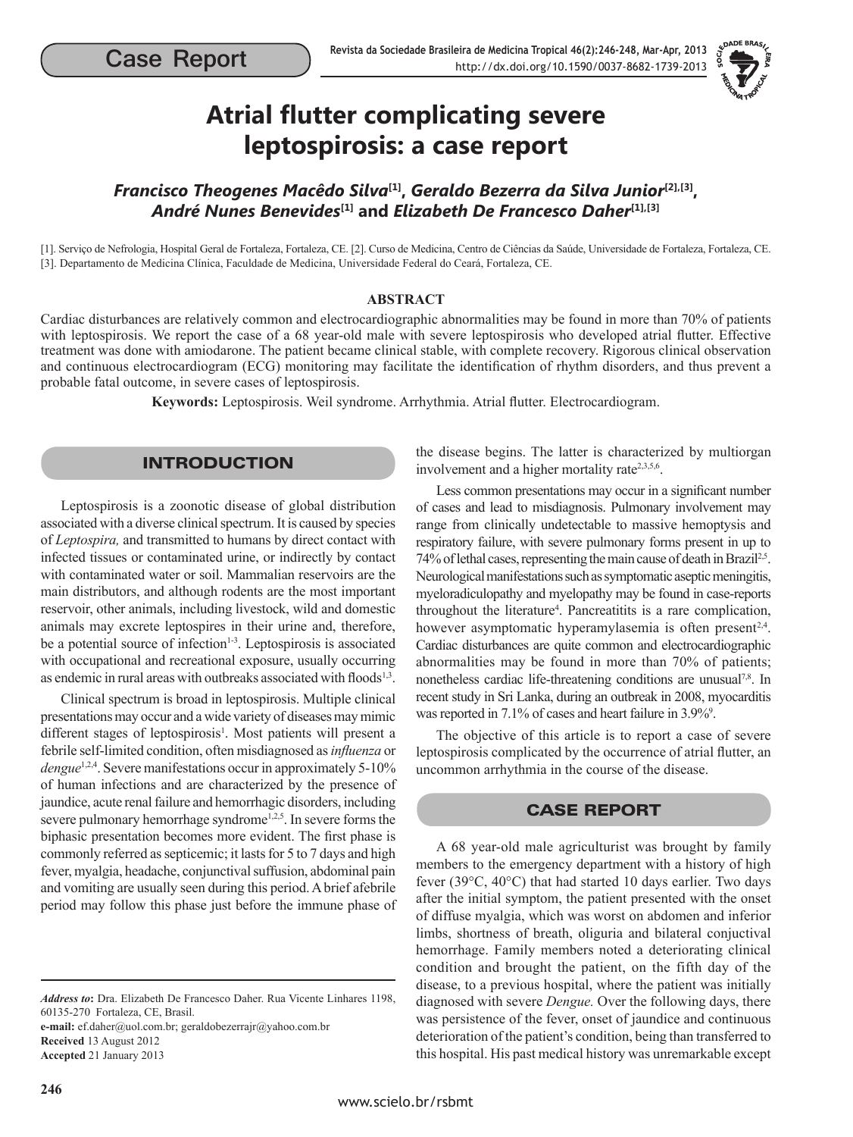

# **Atrial flutter complicating severe leptospirosis: a case report**

# *Francisco Theogenes Macêdo Silva***[1],** *Geraldo Bezerra da Silva Junior***[2],[3],**  *André Nunes Benevides***[1] and** *Elizabeth De Francesco Daher***[1],[3]**

[1]. Serviço de Nefrologia, Hospital Geral de Fortaleza, Fortaleza, CE. [2]. Curso de Medicina, Centro de Ciências da Saúde, Universidade de Fortaleza, Fortaleza, CE. [3]. Departamento de Medicina Clínica, Faculdade de Medicina, Universidade Federal do Ceará, Fortaleza, CE.

#### **ABSTRACT**

Cardiac disturbances are relatively common and electrocardiographic abnormalities may be found in more than 70% of patients with leptospirosis. We report the case of a 68 year-old male with severe leptospirosis who developed atrial flutter. Effective treatment was done with amiodarone. The patient became clinical stable, with complete recovery. Rigorous clinical observation and continuous electrocardiogram (ECG) monitoring may facilitate the identification of rhythm disorders, and thus prevent a probable fatal outcome, in severe cases of leptospirosis.

**Keywords:** Leptospirosis. Weil syndrome. Arrhythmia. Atrial flutter. Electrocardiogram.

## INTRODUCTION

Leptospirosis is a zoonotic disease of global distribution associated with a diverse clinical spectrum. It is caused by species of *Leptospira,* and transmitted to humans by direct contact with infected tissues or contaminated urine, or indirectly by contact with contaminated water or soil. Mammalian reservoirs are the main distributors, and although rodents are the most important reservoir, other animals, including livestock, wild and domestic animals may excrete leptospires in their urine and, therefore, be a potential source of infection<sup>1-3</sup>. Leptospirosis is associated with occupational and recreational exposure, usually occurring as endemic in rural areas with outbreaks associated with floods<sup>1,3</sup>.

Clinical spectrum is broad in leptospirosis. Multiple clinical presentations may occur and a wide variety of diseases may mimic different stages of leptospirosis<sup>1</sup>. Most patients will present a febrile self-limited condition, often misdiagnosed as *influenza* or *dengue*<sup>1,2,4</sup>. Severe manifestations occur in approximately 5-10% of human infections and are characterized by the presence of jaundice, acute renal failure and hemorrhagic disorders, including severe pulmonary hemorrhage syndrome<sup>1,2,5</sup>. In severe forms the biphasic presentation becomes more evident. The first phase is commonly referred as septicemic; it lasts for 5 to 7 days and high fever, myalgia, headache, conjunctival suffusion, abdominal pain and vomiting are usually seen during this period. A brief afebrile period may follow this phase just before the immune phase of

*Address to***:** Dra. Elizabeth De Francesco Daher. Rua Vicente Linhares 1198, 60135-270 Fortaleza, CE, Brasil. **e-mail:** ef.daher@uol.com.br; geraldobezerrajr@yahoo.com.br

**Received** 13 August 2012 **Accepted** 21 January 2013 the disease begins. The latter is characterized by multiorgan involvement and a higher mortality rate<sup>2,3,5,6</sup>.

Less common presentations may occur in a significant number of cases and lead to misdiagnosis. Pulmonary involvement may range from clinically undetectable to massive hemoptysis and respiratory failure, with severe pulmonary forms present in up to 74% of lethal cases, representing the main cause of death in Brazil2,5. Neurological manifestations such as symptomatic aseptic meningitis, myeloradiculopathy and myelopathy may be found in case-reports throughout the literature<sup>4</sup>. Pancreatitits is a rare complication, however asymptomatic hyperamylasemia is often present<sup>2,4</sup>. Cardiac disturbances are quite common and electrocardiographic abnormalities may be found in more than 70% of patients; nonetheless cardiac life-threatening conditions are unusual<sup>7,8</sup>. In recent study in Sri Lanka, during an outbreak in 2008, myocarditis was reported in 7.1% of cases and heart failure in 3.9%<sup>9</sup>.

The objective of this article is to report a case of severe leptospirosis complicated by the occurrence of atrial flutter, an uncommon arrhythmia in the course of the disease.

#### CASE REPORT

A 68 year-old male agriculturist was brought by family members to the emergency department with a history of high fever (39°C, 40°C) that had started 10 days earlier. Two days after the initial symptom, the patient presented with the onset of diffuse myalgia, which was worst on abdomen and inferior limbs, shortness of breath, oliguria and bilateral conjuctival hemorrhage. Family members noted a deteriorating clinical condition and brought the patient, on the fifth day of the disease, to a previous hospital, where the patient was initially diagnosed with severe *Dengue.* Over the following days, there was persistence of the fever, onset of jaundice and continuous deterioration of the patient's condition, being than transferred to this hospital. His past medical history was unremarkable except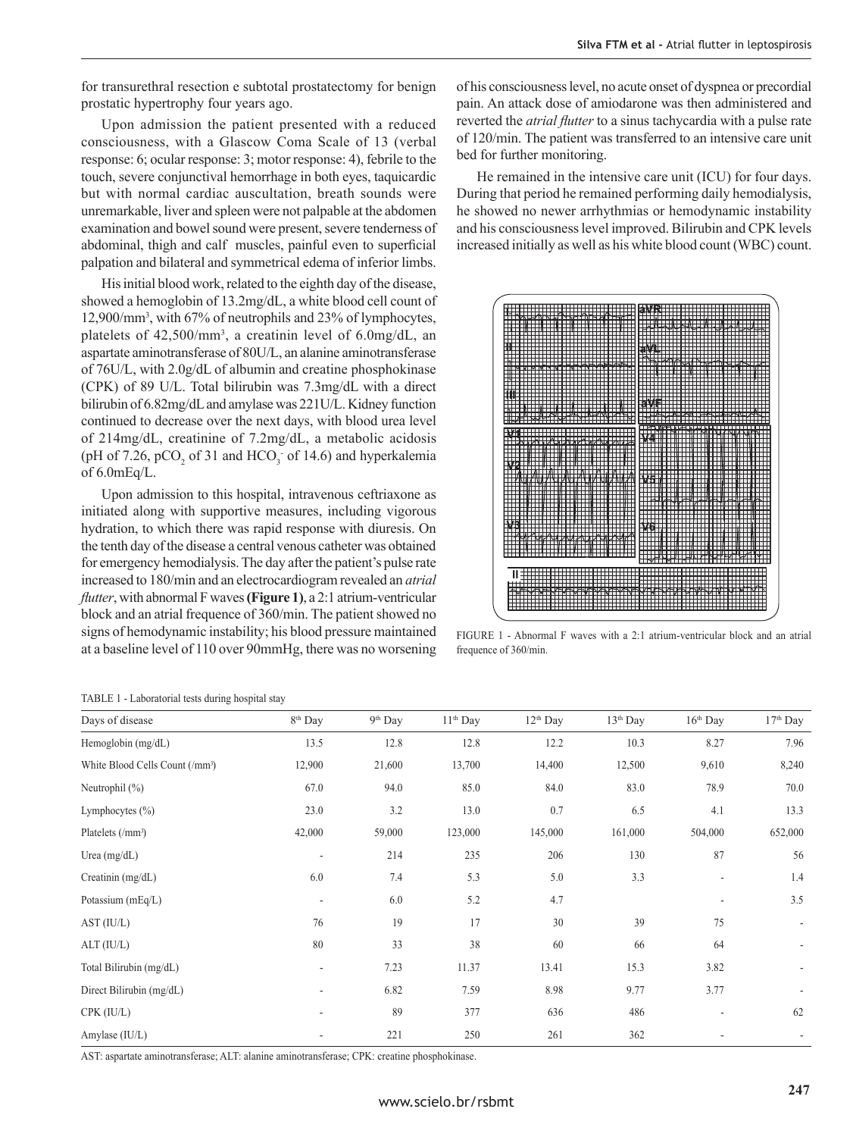for transurethral resection e subtotal prostatectomy for benign prostatic hypertrophy four years ago.

Upon admission the patient presented with a reduced consciousness, with a Glascow Coma Scale of 13 (verbal response: 6; ocular response: 3; motor response: 4), febrile to the touch, severe conjunctival hemorrhage in both eyes, taquicardic but with normal cardiac auscultation, breath sounds were unremarkable, liver and spleen were not palpable at the abdomen examination and bowel sound were present, severe tenderness of abdominal, thigh and calf muscles, painful even to superficial palpation and bilateral and symmetrical edema of inferior limbs.

His initial blood work, related to the eighth day of the disease, showed a hemoglobin of 13.2mg/dL, a white blood cell count of 12,900/mm3 , with 67% of neutrophils and 23% of lymphocytes, platelets of 42,500/mm<sup>3</sup>, a creatinin level of 6.0mg/dL, an aspartate aminotransferase of 80U/L, an alanine aminotransferase of 76U/L, with 2.0g/dL of albumin and creatine phosphokinase (CPK) of 89 U/L. Total bilirubin was 7.3mg/dL with a direct bilirubin of 6.82mg/dL and amylase was 221U/L. Kidney function continued to decrease over the next days, with blood urea level of 214mg/dL, creatinine of 7.2mg/dL, a metabolic acidosis (pH of 7.26,  $pCO<sub>2</sub>$  of 31 and HCO<sub>3</sub> of 14.6) and hyperkalemia of 6.0mEq/L.

Upon admission to this hospital, intravenous ceftriaxone as initiated along with supportive measures, including vigorous hydration, to which there was rapid response with diuresis. On the tenth day of the disease a central venous catheter was obtained for emergency hemodialysis. The day after the patient's pulse rate increased to 180/min and an electrocardiogram revealed an *atrial flutter*, with abnormal F waves **(Figure 1)**, a 2:1 atrium-ventricular block and an atrial frequence of 360/min. The patient showed no signs of hemodynamic instability; his blood pressure maintained at a baseline level of 110 over 90mmHg, there was no worsening of his consciousness level, no acute onset of dyspnea or precordial pain. An attack dose of amiodarone was then administered and reverted the *atrial flutter* to a sinus tachycardia with a pulse rate of 120/min. The patient was transferred to an intensive care unit bed for further monitoring.

He remained in the intensive care unit (ICU) for four days. During that period he remained performing daily hemodialysis, he showed no newer arrhythmias or hemodynamic instability and his consciousness level improved. Bilirubin and CPK levels increased initially as well as his white blood count (WBC) count.



FIGURE 1 - Abnormal F waves with a 2:1 atrium-ventricular block and an atrial frequence of 360/min.

TABLE 1 - Laboratorial tests during hospital stay

| Days of disease                             | 8 <sup>th</sup> Day      | 9 <sup>th</sup> Day | 11 <sup>th</sup> Day | $12th$ Day | 13 <sup>th</sup> Day | $16th$ Day               | 17th Day |
|---------------------------------------------|--------------------------|---------------------|----------------------|------------|----------------------|--------------------------|----------|
| Hemoglobin (mg/dL)                          | 13.5                     | 12.8                | 12.8                 | 12.2       | 10.3                 | 8.27                     | 7.96     |
| White Blood Cells Count (/mm <sup>3</sup> ) | 12,900                   | 21,600              | 13,700               | 14,400     | 12,500               | 9,610                    | 8,240    |
| Neutrophil (%)                              | 67.0                     | 94.0                | 85.0                 | 84.0       | 83.0                 | 78.9                     | 70.0     |
| Lymphocytes $(\% )$                         | 23.0                     | 3.2                 | 13.0                 | 0.7        | 6.5                  | 4.1                      | 13.3     |
| Platelets (/mm <sup>3</sup> )               | 42,000                   | 59,000              | 123,000              | 145,000    | 161,000              | 504,000                  | 652,000  |
| Urea $(mg/dL)$                              | $\overline{\phantom{a}}$ | 214                 | 235                  | 206        | 130                  | 87                       | 56       |
| Creatinin $(mg/dL)$                         | 6.0                      | 7.4                 | 5.3                  | 5.0        | 3.3                  | $\overline{\phantom{a}}$ | 1.4      |
| Potassium (mEq/L)                           | $\overline{\phantom{a}}$ | 6.0                 | 5.2                  | 4.7        |                      | ٠                        | $3.5\,$  |
| AST (IU/L)                                  | 76                       | 19                  | 17                   | 30         | 39                   | 75                       |          |
| ALT (IU/L)                                  | 80                       | 33                  | 38                   | 60         | 66                   | 64                       |          |
| Total Bilirubin (mg/dL)                     | ٠                        | 7.23                | 11.37                | 13.41      | 15.3                 | 3.82                     |          |
| Direct Bilirubin (mg/dL)                    | $\overline{\phantom{a}}$ | 6.82                | 7.59                 | 8.98       | 9.77                 | 3.77                     |          |
| CPK (IU/L)                                  | ٠                        | 89                  | 377                  | 636        | 486                  |                          | 62       |
| Amylase (IU/L)                              |                          | 221                 | 250                  | 261        | 362                  |                          |          |

AST: aspartate aminotransferase; ALT: alanine aminotransferase; CPK: creatine phosphokinase.